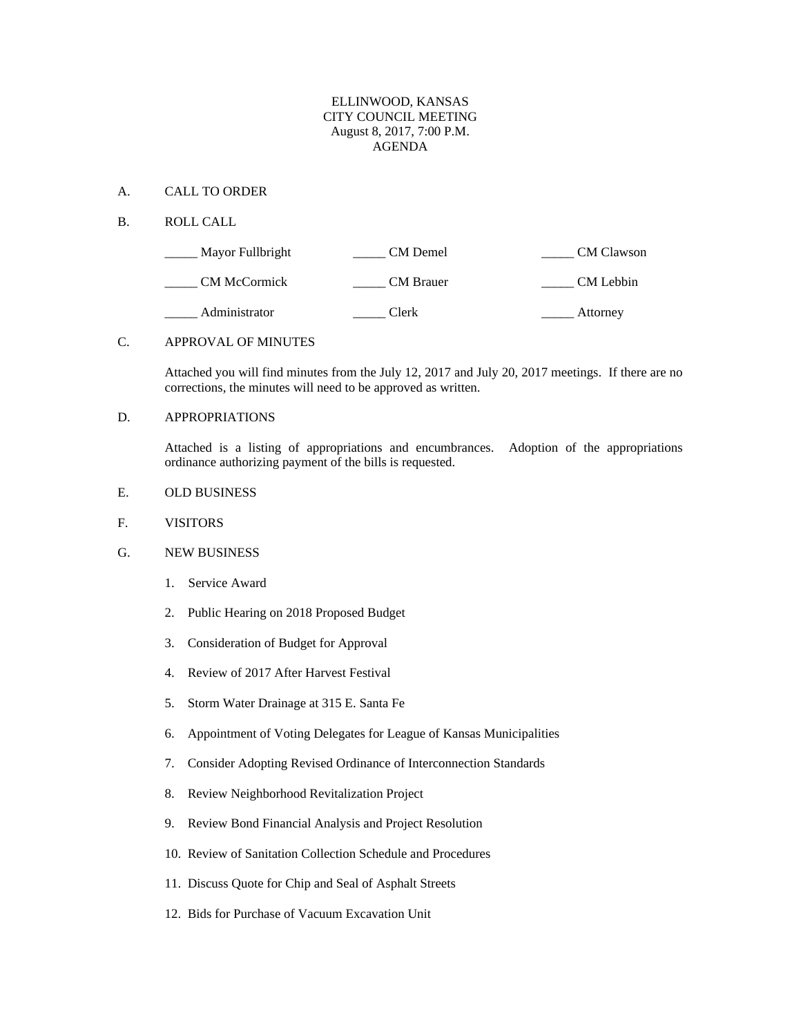### ELLINWOOD, KANSAS CITY COUNCIL MEETING August 8, 2017, 7:00 P.M. AGENDA

#### A. CALL TO ORDER

B. ROLL CALL

| Mayor Fullbright    | CM Demel         | <b>CM</b> Clawson |
|---------------------|------------------|-------------------|
| <b>CM McCormick</b> | <b>CM</b> Brauer | CM Lebbin         |
| Administrator       | Clerk            | Attorney          |

#### C. APPROVAL OF MINUTES

Attached you will find minutes from the July 12, 2017 and July 20, 2017 meetings. If there are no corrections, the minutes will need to be approved as written.

# D. APPROPRIATIONS

Attached is a listing of appropriations and encumbrances. Adoption of the appropriations ordinance authorizing payment of the bills is requested.

- E. OLD BUSINESS
- F. VISITORS
- G. NEW BUSINESS
	- 1. Service Award
	- 2. Public Hearing on 2018 Proposed Budget
	- 3. Consideration of Budget for Approval
	- 4. Review of 2017 After Harvest Festival
	- 5. Storm Water Drainage at 315 E. Santa Fe
	- 6. Appointment of Voting Delegates for League of Kansas Municipalities
	- 7. Consider Adopting Revised Ordinance of Interconnection Standards
	- 8. Review Neighborhood Revitalization Project
	- 9. Review Bond Financial Analysis and Project Resolution
	- 10. Review of Sanitation Collection Schedule and Procedures
	- 11. Discuss Quote for Chip and Seal of Asphalt Streets
	- 12. Bids for Purchase of Vacuum Excavation Unit